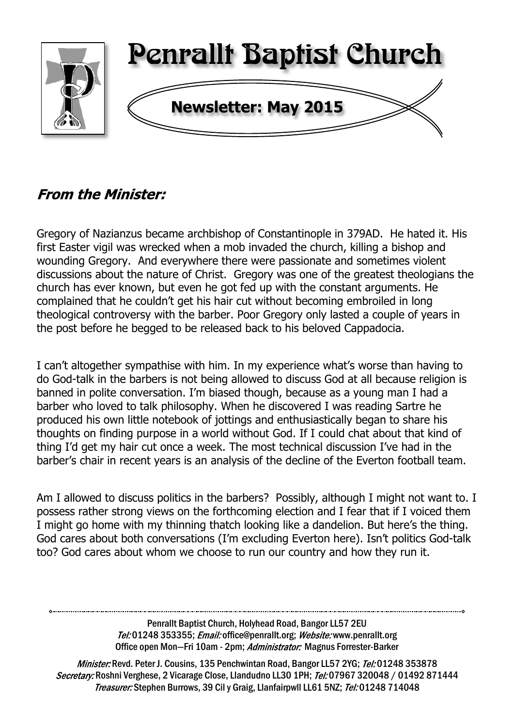

# **From the Minister:**

Gregory of Nazianzus became archbishop of Constantinople in 379AD. He hated it. His first Easter vigil was wrecked when a mob invaded the church, killing a bishop and wounding Gregory. And everywhere there were passionate and sometimes violent discussions about the nature of Christ. Gregory was one of the greatest theologians the church has ever known, but even he got fed up with the constant arguments. He complained that he couldn't get his hair cut without becoming embroiled in long theological controversy with the barber. Poor Gregory only lasted a couple of years in the post before he begged to be released back to his beloved Cappadocia.

I can't altogether sympathise with him. In my experience what's worse than having to do God-talk in the barbers is not being allowed to discuss God at all because religion is banned in polite conversation. I'm biased though, because as a young man I had a barber who loved to talk philosophy. When he discovered I was reading Sartre he produced his own little notebook of jottings and enthusiastically began to share his thoughts on finding purpose in a world without God. If I could chat about that kind of thing I'd get my hair cut once a week. The most technical discussion I've had in the barber's chair in recent years is an analysis of the decline of the Everton football team.

Am I allowed to discuss politics in the barbers? Possibly, although I might not want to. I possess rather strong views on the forthcoming election and I fear that if I voiced them I might go home with my thinning thatch looking like a dandelion. But here's the thing. God cares about both conversations (I'm excluding Everton here). Isn't politics God-talk too? God cares about whom we choose to run our country and how they run it.

> Penrallt Baptist Church, Holyhead Road, Bangor LL57 2EU Tel:01248 353355; Email: office@penrallt.org; Website: www.penrallt.org Office open Mon-Fri 10am - 2pm; Administrator: Magnus Forrester-Barker

Minister: Revd. Peter J. Cousins, 135 Penchwintan Road, Bangor LL57 2YG; Tel: 01248 353878 Secretary: Roshni Verghese, 2 Vicarage Close, Llandudno LL30 1PH; Tel: 07967 320048 / 01492 871444 Treasurer: Stephen Burrows, 39 Cil y Graig, Llanfairpwll LL61 5NZ; Tel: 01248 714048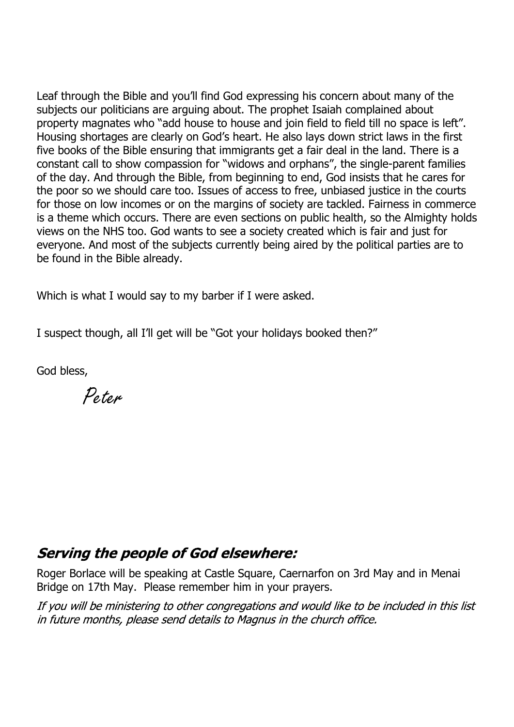Leaf through the Bible and you'll find God expressing his concern about many of the subjects our politicians are arguing about. The prophet Isaiah complained about property magnates who "add house to house and join field to field till no space is left". Housing shortages are clearly on God's heart. He also lays down strict laws in the first five books of the Bible ensuring that immigrants get a fair deal in the land. There is a constant call to show compassion for "widows and orphans", the single-parent families of the day. And through the Bible, from beginning to end, God insists that he cares for the poor so we should care too. Issues of access to free, unbiased justice in the courts for those on low incomes or on the margins of society are tackled. Fairness in commerce is a theme which occurs. There are even sections on public health, so the Almighty holds views on the NHS too. God wants to see a society created which is fair and just for everyone. And most of the subjects currently being aired by the political parties are to be found in the Bible already.

Which is what I would say to my barber if I were asked.

I suspect though, all I'll get will be "Got your holidays booked then?"

God bless,

Peter

# **Serving the people of God elsewhere:**

Roger Borlace will be speaking at Castle Square, Caernarfon on 3rd May and in Menai Bridge on 17th May. Please remember him in your prayers.

If you will be ministering to other congregations and would like to be included in this list in future months, please send details to Magnus in the church office.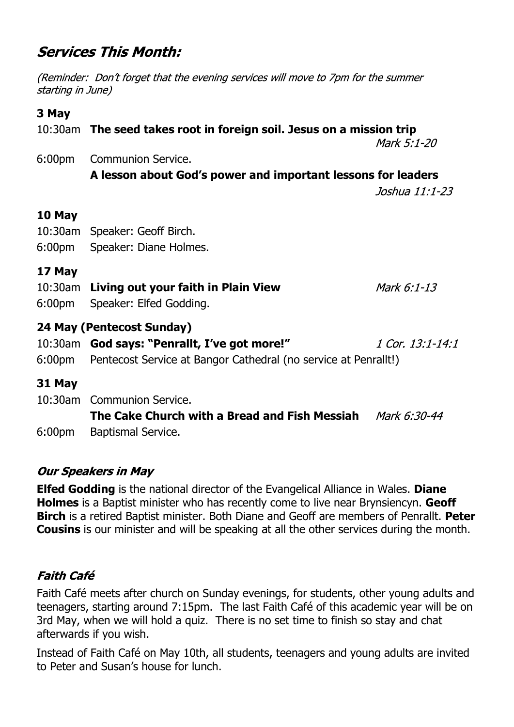# **Services This Month:**

(Reminder: Don't forget that the evening services will move to 7pm for the summer starting in June)

#### **3 May**

|                    | 10:30am The seed takes root in foreign soil. Jesus on a mission trip<br>Mark 5:1-20                                                                 |                  |  |
|--------------------|-----------------------------------------------------------------------------------------------------------------------------------------------------|------------------|--|
| 6:00 <sub>pm</sub> | <b>Communion Service.</b><br>A lesson about God's power and important lessons for leaders                                                           |                  |  |
|                    |                                                                                                                                                     | Joshua 11:1-23   |  |
| 10 May<br>6:00pm   | 10:30am Speaker: Geoff Birch.<br>Speaker: Diane Holmes.                                                                                             |                  |  |
| 17 May<br>6:00pm   | 10:30am Living out your faith in Plain View<br>Speaker: Elfed Godding.                                                                              | Mark 6:1-13      |  |
|                    | 24 May (Pentecost Sunday)<br>10:30am God says: "Penrallt, I've got more!"<br>6:00pm Pentecost Service at Bangor Cathedral (no service at Penrallt!) | 1 Cor. 13:1-14:1 |  |
| 31 May             | 10:30am Communion Service.<br>The Cake Church with a Bread and Fish Messiah                                                                         | Mark 6:30-44     |  |

6:00pm Baptismal Service.

### **Our Speakers in May**

**Elfed Godding** is the national director of the Evangelical Alliance in Wales. **Diane Holmes** is a Baptist minister who has recently come to live near Brynsiencyn. **Geoff Birch** is a retired Baptist minister. Both Diane and Geoff are members of Penrallt. **Peter Cousins** is our minister and will be speaking at all the other services during the month.

### **Faith Café**

Faith Café meets after church on Sunday evenings, for students, other young adults and teenagers, starting around 7:15pm. The last Faith Café of this academic year will be on 3rd May, when we will hold a quiz. There is no set time to finish so stay and chat afterwards if you wish.

Instead of Faith Café on May 10th, all students, teenagers and young adults are invited to Peter and Susan's house for lunch.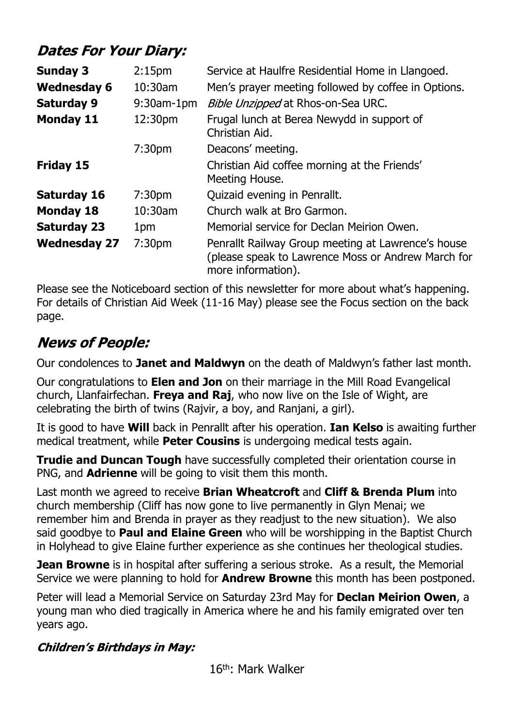# **Dates For Your Diary:**

| <b>Sunday 3</b>     | 2:15 <sub>pm</sub> | Service at Haulfre Residential Home in Llangoed.                                                                               |
|---------------------|--------------------|--------------------------------------------------------------------------------------------------------------------------------|
| <b>Wednesday 6</b>  | $10:30$ am         | Men's prayer meeting followed by coffee in Options.                                                                            |
| <b>Saturday 9</b>   | $9:30$ am-1pm      | Bible Unzipped at Rhos-on-Sea URC.                                                                                             |
| <b>Monday 11</b>    | 12:30pm            | Frugal lunch at Berea Newydd in support of<br>Christian Aid.                                                                   |
|                     | 7:30 <sub>pm</sub> | Deacons' meeting.                                                                                                              |
| Friday 15           |                    | Christian Aid coffee morning at the Friends'<br>Meeting House.                                                                 |
| <b>Saturday 16</b>  | 7:30 <sub>pm</sub> | Quizaid evening in Penrallt.                                                                                                   |
| <b>Monday 18</b>    | 10:30am            | Church walk at Bro Garmon.                                                                                                     |
| <b>Saturday 23</b>  | 1pm                | Memorial service for Declan Meirion Owen.                                                                                      |
| <b>Wednesday 27</b> | 7:30 <sub>pm</sub> | Penrallt Railway Group meeting at Lawrence's house<br>(please speak to Lawrence Moss or Andrew March for<br>more information). |

Please see the Noticeboard section of this newsletter for more about what's happening. For details of Christian Aid Week (11-16 May) please see the Focus section on the back page.

# **News of People:**

Our condolences to **Janet and Maldwyn** on the death of Maldwyn's father last month.

Our congratulations to **Elen and Jon** on their marriage in the Mill Road Evangelical church, Llanfairfechan. **Freya and Raj**, who now live on the Isle of Wight, are celebrating the birth of twins (Rajvir, a boy, and Ranjani, a girl).

It is good to have **Will** back in Penrallt after his operation. **Ian Kelso** is awaiting further medical treatment, while **Peter Cousins** is undergoing medical tests again.

**Trudie and Duncan Tough** have successfully completed their orientation course in PNG, and **Adrienne** will be going to visit them this month.

Last month we agreed to receive **Brian Wheatcroft** and **Cliff & Brenda Plum** into church membership (Cliff has now gone to live permanently in Glyn Menai; we remember him and Brenda in prayer as they readjust to the new situation). We also said goodbye to **Paul and Elaine Green** who will be worshipping in the Baptist Church in Holyhead to give Elaine further experience as she continues her theological studies.

**Jean Browne** is in hospital after suffering a serious stroke. As a result, the Memorial Service we were planning to hold for **Andrew Browne** this month has been postponed.

Peter will lead a Memorial Service on Saturday 23rd May for **Declan Meirion Owen**, a young man who died tragically in America where he and his family emigrated over ten years ago.

### **Children's Birthdays in May:**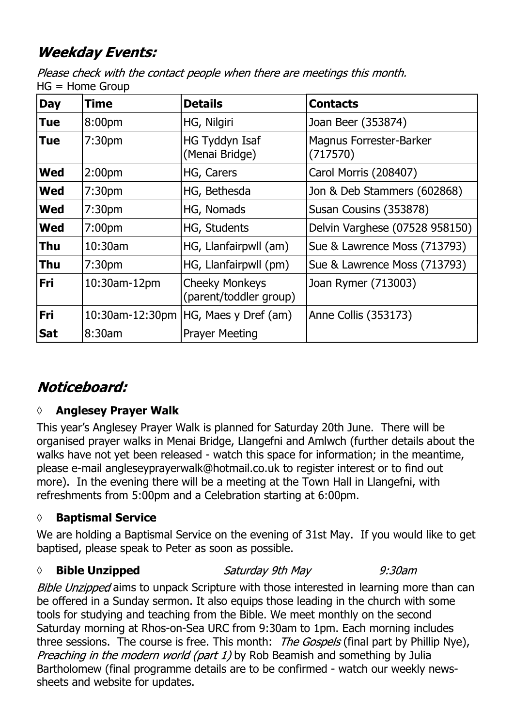# **Weekday Events:**

Please check with the contact people when there are meetings this month.  $HG = Home Group$ 

| <b>Day</b> | Time               | <b>Details</b>                                  | <b>Contacts</b>                            |
|------------|--------------------|-------------------------------------------------|--------------------------------------------|
| <b>Tue</b> | 8:00 <sub>pm</sub> | HG, Nilgiri                                     | Joan Beer (353874)                         |
| <b>Tue</b> | 7:30 <sub>pm</sub> | HG Tyddyn Isaf<br>(Menai Bridge)                | <b>Magnus Forrester-Barker</b><br>(717570) |
| <b>Wed</b> | 2:00 <sub>pm</sub> | HG, Carers                                      | Carol Morris (208407)                      |
| <b>Wed</b> | 7:30 <sub>pm</sub> | HG, Bethesda                                    | Jon & Deb Stammers (602868)                |
| <b>Wed</b> | 7:30 <sub>pm</sub> | HG, Nomads                                      | Susan Cousins (353878)                     |
| <b>Wed</b> | 7:00 <sub>pm</sub> | HG, Students                                    | Delvin Varghese (07528 958150)             |
| <b>Thu</b> | 10:30am            | HG, Llanfairpwll (am)                           | Sue & Lawrence Moss (713793)               |
| <b>Thu</b> | 7:30 <sub>pm</sub> | HG, Llanfairpwll (pm)                           | Sue & Lawrence Moss (713793)               |
| Fri        | 10:30am-12pm       | <b>Cheeky Monkeys</b><br>(parent/toddler group) | Joan Rymer (713003)                        |
| Fri        | 10:30am-12:30pm    | HG, Maes y Dref (am)                            | Anne Collis (353173)                       |
| <b>Sat</b> | 8:30am             | <b>Prayer Meeting</b>                           |                                            |

# Noticeboard:

# **◊ Anglesey Prayer Walk**

This year's Anglesey Prayer Walk is planned for Saturday 20th June. There will be organised prayer walks in Menai Bridge, Llangefni and Amlwch (further details about the walks have not yet been released - watch this space for information; in the meantime, please e-mail angleseyprayerwalk@hotmail.co.uk to register interest or to find out more). In the evening there will be a meeting at the Town Hall in Llangefni, with refreshments from 5:00pm and a Celebration starting at 6:00pm.

# **◊ Baptismal Service**

We are holding a Baptismal Service on the evening of 31st May. If you would like to get baptised, please speak to Peter as soon as possible.

### *◊* **Bible Unzipped**

#### Saturday 9th May

 $9:30$ am

Bible Unzipped aims to unpack Scripture with those interested in learning more than can be offered in a Sunday sermon. It also equips those leading in the church with some tools for studying and teaching from the Bible. We meet monthly on the second Saturday morning at Rhos-on-Sea URC from 9:30am to 1pm. Each morning includes three sessions. The course is free. This month: The Gospels (final part by Phillip Nye), Preaching in the modern world (part 1) by Rob Beamish and something by Julia Bartholomew (final programme details are to be confirmed - watch our weekly newssheets and website for updates.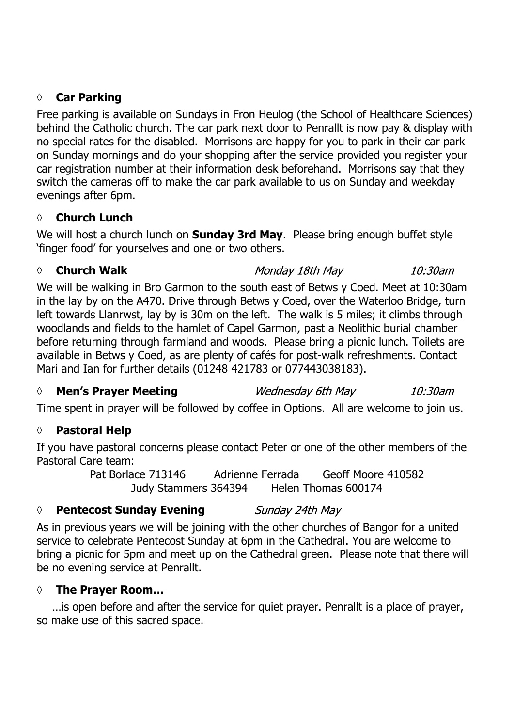#### **◊ Car Parking**

Free parking is available on Sundays in Fron Heulog (the School of Healthcare Sciences) behind the Catholic church. The car park next door to Penrallt is now pay & display with no special rates for the disabled. Morrisons are happy for you to park in their car park on Sunday mornings and do your shopping after the service provided you register your car registration number at their information desk beforehand. Morrisons say that they switch the cameras off to make the car park available to us on Sunday and weekday evenings after 6pm.

#### **◊ Church Lunch**

We will host a church lunch on **Sunday 3rd May**. Please bring enough buffet style 'finger food' for yourselves and one or two others.

#### *◊* **Church Walk**

Monday 18th May  $10:30$ am

We will be walking in Bro Garmon to the south east of Betws y Coed. Meet at 10:30am in the lay by on the A470. Drive through Betws y Coed, over the Waterloo Bridge, turn left towards Llanrwst, lay by is 30m on the left. The walk is 5 miles; it climbs through woodlands and fields to the hamlet of Capel Garmon, past a Neolithic burial chamber before returning through farmland and woods. Please bring a picnic lunch. Toilets are available in Betws y Coed, as are plenty of cafés for post-walk refreshments. Contact Mari and Ian for further details (01248 421783 or 077443038183).

#### *◊* **Men's Prayer Meeting**

Wednesday 6th May

10:30am

Time spent in prayer will be followed by coffee in Options. All are welcome to join us.

#### **◊ Pastoral Help**

If you have pastoral concerns please contact Peter or one of the other members of the Pastoral Care team:

Pat Borlace 713146 Adrienne Ferrada Geoff Moore 410582 Judy Stammers 364394 Helen Thomas 600174

#### *◊* **Pentecost Sunday Evening** Sunday 24th May

As in previous years we will be joining with the other churches of Bangor for a united service to celebrate Pentecost Sunday at 6pm in the Cathedral. You are welcome to bring a picnic for 5pm and meet up on the Cathedral green. Please note that there will be no evening service at Penrallt.

#### **◊ The Prayer Room…**

…is open before and after the service for quiet prayer. Penrallt is a place of prayer, so make use of this sacred space.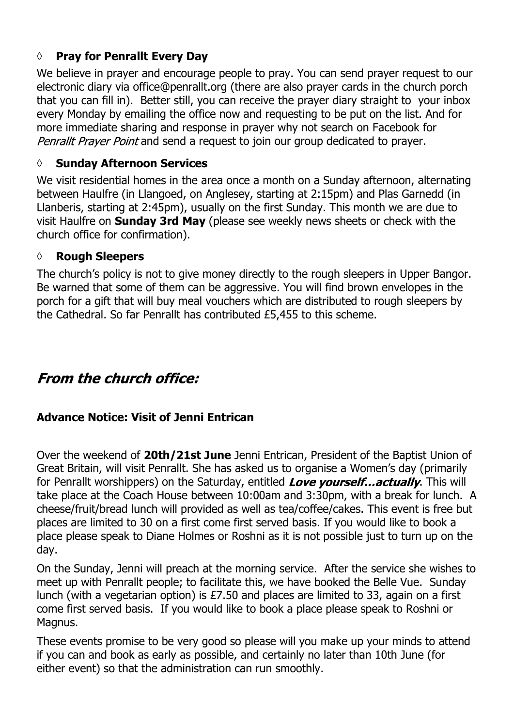### **◊ Pray for Penrallt Every Day**

We believe in prayer and encourage people to pray. You can send prayer request to our electronic diary via office@penrallt.org (there are also prayer cards in the church porch that you can fill in). Better still, you can receive the prayer diary straight to your inbox every Monday by emailing the office now and requesting to be put on the list. And for more immediate sharing and response in prayer why not search on Facebook for Penrallt Prayer Point and send a request to join our group dedicated to prayer.

### **◊ Sunday Afternoon Services**

We visit residential homes in the area once a month on a Sunday afternoon, alternating between Haulfre (in Llangoed, on Anglesey, starting at 2:15pm) and Plas Garnedd (in Llanberis, starting at 2:45pm), usually on the first Sunday. This month we are due to visit Haulfre on **Sunday 3rd May** (please see weekly news sheets or check with the church office for confirmation).

### **◊ Rough Sleepers**

The church's policy is not to give money directly to the rough sleepers in Upper Bangor. Be warned that some of them can be aggressive. You will find brown envelopes in the porch for a gift that will buy meal vouchers which are distributed to rough sleepers by the Cathedral. So far Penrallt has contributed £5,455 to this scheme.

# **From the church office:**

### **Advance Notice: Visit of Jenni Entrican**

Over the weekend of **20th/21st June** Jenni Entrican, President of the Baptist Union of Great Britain, will visit Penrallt. She has asked us to organise a Women's day (primarily for Penrallt worshippers) on the Saturday, entitled Love yourself...actually. This will take place at the Coach House between 10:00am and 3:30pm, with a break for lunch. A cheese/fruit/bread lunch will provided as well as tea/coffee/cakes. This event is free but places are limited to 30 on a first come first served basis. If you would like to book a place please speak to Diane Holmes or Roshni as it is not possible just to turn up on the day.

On the Sunday, Jenni will preach at the morning service. After the service she wishes to meet up with Penrallt people; to facilitate this, we have booked the Belle Vue. Sunday lunch (with a vegetarian option) is £7.50 and places are limited to 33, again on a first come first served basis. If you would like to book a place please speak to Roshni or Magnus.

These events promise to be very good so please will you make up your minds to attend if you can and book as early as possible, and certainly no later than 10th June (for either event) so that the administration can run smoothly.